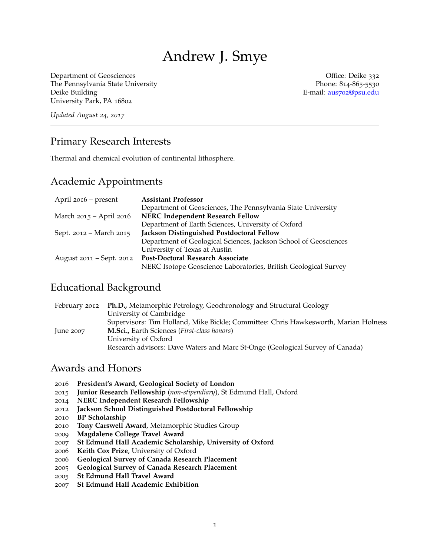# Andrew J. Smye

Department of Geosciences **Office:** Deike 332 The Pennsylvania State University **Phone: 814-865-5530** Deike Building E-mail: aus702[@psu.edu](mailto:aus702@psu.edu) University Park, PA 16802

*Updated August 24, 2017*

### Primary Research Interests

Thermal and chemical evolution of continental lithosphere.

#### Academic Appointments

| April 2016 – present     | <b>Assistant Professor</b>                                       |
|--------------------------|------------------------------------------------------------------|
|                          | Department of Geosciences, The Pennsylvania State University     |
| March 2015 - April 2016  | NERC Independent Research Fellow                                 |
|                          | Department of Earth Sciences, University of Oxford               |
| Sept. 2012 - March 2015  | Jackson Distinguished Postdoctoral Fellow                        |
|                          | Department of Geological Sciences, Jackson School of Geosciences |
|                          | University of Texas at Austin                                    |
| August 2011 – Sept. 2012 | Post-Doctoral Research Associate                                 |
|                          | NERC Isotope Geoscience Laboratories, British Geological Survey  |

### Educational Background

|               | February 2012 Ph.D., Metamorphic Petrology, Geochronology and Structural Geology    |  |
|---------------|-------------------------------------------------------------------------------------|--|
|               | University of Cambridge                                                             |  |
|               | Supervisors: Tim Holland, Mike Bickle; Committee: Chris Hawkesworth, Marian Holness |  |
| $\mu$ ne 2007 | M.Sci., Earth Sciences (First-class honors)                                         |  |
|               | University of Oxford                                                                |  |
|               | Research advisors: Dave Waters and Marc St-Onge (Geological Survey of Canada)       |  |

## Awards and Honors

- 2016 **President's Award, Geological Society of London**
- 2015 **Junior Research Fellowship** (*non-stipendiary*), St Edmund Hall, Oxford
- 2014 **NERC Independent Research Fellowship**
- 2012 **Jackson School Distinguished Postdoctoral Fellowship**
- 2010 **BP Scholarship**
- 2010 **Tony Carswell Award**, Metamorphic Studies Group
- 2009 **Magdalene College Travel Award**
- 2007 **St Edmund Hall Academic Scholarship, University of Oxford**
- 2006 **Keith Cox Prize**, University of Oxford
- 2006 **Geological Survey of Canada Research Placement**
- 2005 **Geological Survey of Canada Research Placement**
- 2005 **St Edmund Hall Travel Award**
- 2007 **St Edmund Hall Academic Exhibition**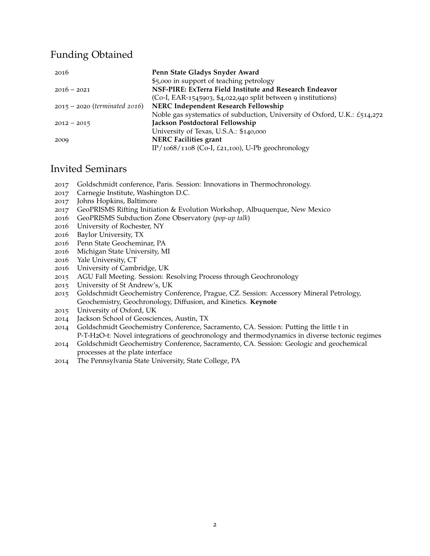# Funding Obtained

| 2016                            | Penn State Gladys Snyder Award                                              |
|---------------------------------|-----------------------------------------------------------------------------|
|                                 | \$5,000 in support of teaching petrology                                    |
| $2016 - 2021$                   | NSF-PIRE: ExTerra Field Institute and Research Endeavor                     |
|                                 | (Co-I, EAR-1545903, \$4,022,940 split between 9 institutions)               |
| $2015 - 2020$ (terminated 2016) | NERC Independent Research Fellowship                                        |
|                                 | Noble gas systematics of subduction, University of Oxford, U.K.: $£514,272$ |
| $2012 - 2015$                   | Jackson Postdoctoral Fellowship                                             |
|                                 | University of Texas, U.S.A.: \$140,000                                      |
| 2009                            | <b>NERC Facilities grant</b>                                                |
|                                 | IP/1068/1108 (Co-I, £21,100), U-Pb geochronology                            |

# Invited Seminars

- Goldschmidt conference, Paris. Session: Innovations in Thermochronology.
- Carnegie Institute, Washington D.C.
- Johns Hopkins, Baltimore
- GeoPRISMS Rifting Initiation & Evolution Workshop, Albuquerque, New Mexico
- GeoPRISMS Subduction Zone Observatory (*pop-up talk*)
- University of Rochester, NY
- Baylor University, TX
- Penn State Geocheminar, PA
- Michigan State University, MI
- Yale University, CT
- University of Cambridge, UK
- AGU Fall Meeting. Session: Resolving Process through Geochronology
- University of St Andrew's, UK
- Goldschmidt Geochemistry Conference, Prague, CZ. Session: Accessory Mineral Petrology, Geochemistry, Geochronology, Diffusion, and Kinetics. **Keynote**
- University of Oxford, UK
- Jackson School of Geosciences, Austin, TX
- Goldschmidt Geochemistry Conference, Sacramento, CA. Session: Putting the little t in P-T-H2O-t: Novel integrations of geochronology and thermodynamics in diverse tectonic regimes
- Goldschmidt Geochemistry Conference, Sacramento, CA. Session: Geologic and geochemical processes at the plate interface
- The Pennsylvania State University, State College, PA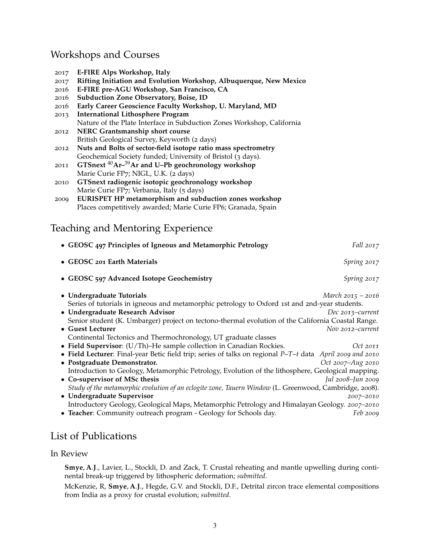# Workshops and Courses

| E-FIRE Alps Workshop, Italy<br>2017 |
|-------------------------------------|
|-------------------------------------|

- 2017 **Rifting Initiation and Evolution Workshop, Albuquerque, New Mexico**
- 2016 **E-FIRE pre-AGU Workshop, San Francisco, CA**
- 2016 **Subduction Zone Observatory, Boise, ID**
- 2016 **Early Career Geoscience Faculty Workshop, U. Maryland, MD**
- 2013 **International Lithosphere Program** Nature of the Plate Interface in Subduction Zones Workshop, California
- 2012 **NERC Grantsmanship short course** British Geological Survey, Keyworth (2 days)
- 2012 **Nuts and Bolts of sector-field isotope ratio mass spectrometry** Geochemical Society funded; University of Bristol (3 days).
- 2011 **GTSnext** <sup>40</sup>**Ar–**39**Ar and U–Pb geochronology workshop** Marie Curie FP7; NIGL, U.K. (2 days)
- 2010 **GTSnext radiogenic isotopic geochronology workshop** Marie Curie FP7; Verbania, Italy (5 days)
- 2009 **EURISPET HP metamorphism and subduction zones workshop** Places competitively awarded; Marie Curie FP6; Granada, Spain

# Teaching and Mentoring Experience

| • GEOSC 497 Principles of Igneous and Metamorphic Petrology                                               | <i>Fall</i> 2017    |
|-----------------------------------------------------------------------------------------------------------|---------------------|
| • GEOSC 201 Earth Materials                                                                               | Spring 2017         |
| • GEOSC 597 Advanced Isotope Geochemistry                                                                 | Spring 2017         |
| • Undergraduate Tutorials                                                                                 | March $2015 - 2016$ |
| Series of tutorials in igneous and metamorphic petrology to Oxford 1st and 2nd-year students.             |                     |
| • Undergraduate Research Advisor                                                                          | Dec 2013–current    |
| Senior student (K. Umbarger) project on tectono-thermal evolution of the California Coastal Range.        |                     |
| • Guest Lecturer                                                                                          | Nov 2012–current    |
| Continental Tectonics and Thermochronology, UT graduate classes                                           |                     |
| • Field Supervisor: (U/Th)-He sample collection in Canadian Rockies.                                      | Oct 2011            |
| • Field Lecturer: Final-year Betic field trip; series of talks on regional P-T-t data April 2009 and 2010 |                     |
| • Postgraduate Demonstrator.                                                                              | Oct 2007–Aug 2010   |
| Introduction to Geology, Metamorphic Petrology, Evolution of the lithosphere, Geological mapping.         |                     |
| • Co-supervisor of MSc thesis                                                                             | Jul 2008–Jun 2009   |
| Study of the metamorphic evolution of an eclogite zone, Tauern Window (L. Greenwood, Cambridge, 2008).    |                     |
| • Undergraduate Supervisor                                                                                | 2007-2010           |
| Introductory Geology, Geological Maps, Metamorphic Petrology and Himalayan Geology. 2007-2010             |                     |
| • Teacher: Community outreach program - Geology for Schools day.                                          | Feb 2009            |

# List of Publications

#### In Review

**Smye**, **A**.**J**., Lavier, L., Stockli, D. and Zack, T. Crustal reheating and mantle upwelling during continental break-up triggered by lithospheric deformation; *submitted*.

McKenzie, R, **Smye**, **A**.**J**., Hegde, G.V. and Stockli, D.F., Detrital zircon trace elemental compositions from India as a proxy for crustal evolution; *submitted*.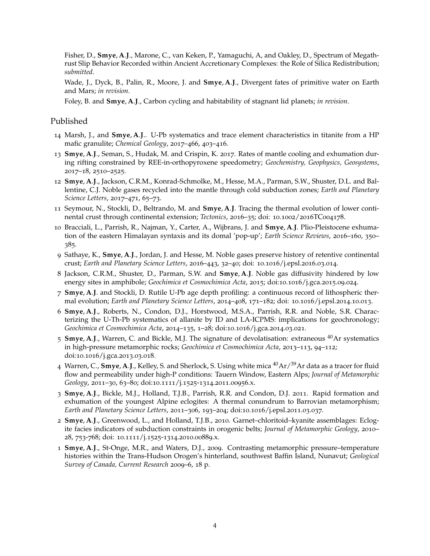Fisher, D., **Smye**, **A**.**J**., Marone, C., van Keken, P., Yamaguchi, A, and Oakley, D., Spectrum of Megathrust Slip Behavior Recorded within Ancient Accretionary Complexes: the Role of Silica Redistribution; *submitted*.

Wade, J., Dyck, B., Palin, R., Moore, J. and **Smye**, **A**.**J**., Divergent fates of primitive water on Earth and Mars; *in revision*.

Foley, B. and **Smye**, **A**.**J**., Carbon cycling and habitability of stagnant lid planets; *in revision*.

#### Published

- 14 Marsh, J., and **Smye**, **A**.**J**.. U-Pb systematics and trace element characteristics in titanite from a HP mafic granulite; *Chemical Geology*, 2017–466, 403–416.
- 13 **Smye**, **A**.**J**., Seman, S., Hudak, M. and Crispin, K. 2017. Rates of mantle cooling and exhumation during rifting constrained by REE-in-orthopyroxene speedometry; *Geochemistry, Geophysics, Geosystems*, 2017–18, 2510–2525.
- 12 **Smye**, **A**.**J**., Jackson, C.R.M., Konrad-Schmolke, M., Hesse, M.A., Parman, S.W., Shuster, D.L. and Ballentine, C.J. Noble gases recycled into the mantle through cold subduction zones; *Earth and Planetary Science Letters*, 2017–471, 65–73.
- 11 Seymour, N., Stockli, D., Beltrando, M. and **Smye**, **A**.**J**. Tracing the thermal evolution of lower continental crust through continental extension; *Tectonics*, 2016–35; doi: 10.1002/2016TC004178.
- 10 Bracciali, L., Parrish, R., Najman, Y., Carter, A., Wijbrans, J. and **Smye**, **A**.**J**. Plio-Pleistocene exhumation of the eastern Himalayan syntaxis and its domal 'pop-up'; *Earth Science Reviews*, 2016–160, 350– 385.
- 9 Sathaye, K., **Smye**, **A**.**J**., Jordan, J. and Hesse, M. Noble gases preserve history of retentive continental crust; *Earth and Planetary Science Letters*, 2016–443, 32–40; doi: 10.1016/j.epsl.2016.03.014.
- 8 Jackson, C.R.M., Shuster, D., Parman, S.W. and **Smye**, **A**.**J**. Noble gas diffusivity hindered by low energy sites in amphibole; *Geochimica et Cosmochimica Acta*, 2015; doi:10.1016/j.gca.2015.09.024.
- 7 **Smye**, **A**.**J**. and Stockli, D. Rutile U-Pb age depth profiling: a continuous record of lithospheric thermal evolution; *Earth and Planetary Science Letters*, 2014–408, 171–182; doi: 10.1016/j.epsl.2014.10.013.
- 6 **Smye**, **A**.**J**., Roberts, N., Condon, D.J., Horstwood, M.S.A., Parrish, R.R. and Noble, S.R. Characterizing the U-Th-Pb systematics of allanite by ID and LA-ICPMS: implications for geochronology; *Geochimica et Cosmochimica Acta*, 2014–135, 1–28; doi:10.1016/j.gca.2014.03.021.
- 5 **Smye**, **A**.**J**., Warren, C. and Bickle, M.J. The signature of devolatisation: extraneous <sup>40</sup>Ar systematics in high-pressure metamorphic rocks; *Geochimica et Cosmochimica Acta*, 2013–113, 94–112; doi:10.1016/j.gca.2013.03.018.
- 4 Warren, C., **Smye**, **A**.**J**., Kelley, S. and Sherlock, S. Using white mica <sup>40</sup>Ar/39Ar data as a tracer for fluid flow and permeability under high-P conditions: Tauern Window, Eastern Alps; *Journal of Metamorphic Geology*, 2011–30, 63–80; doi:10.1111/j.1525-1314.2011.00956.x.
- 3 **Smye**, **A**.**J**., Bickle, M.J., Holland, T.J.B., Parrish, R.R. and Condon, D.J. 2011. Rapid formation and exhumation of the youngest Alpine eclogites: A thermal conundrum to Barrovian metamorphism; *Earth and Planetary Science Letters*, 2011–306, 193–204; doi:10.1016/j.epsl.2011.03.037.
- 2 **Smye**, **A**.**J**., Greenwood, L., and Holland, T.J.B., 2010. Garnet–chloritoid–kyanite assemblages: Eclogite facies indicators of subduction constraints in orogenic belts; *Journal of Metamorphic Geology*, 2010– 28, 753-768; doi: 10.1111/j.1525-1314.2010.00889.x.
- 1 **Smye**, **A**.**J**., St-Onge, M.R., and Waters, D.J., 2009. Contrasting metamorphic pressure–temperature histories within the Trans-Hudson Orogen's hinterland, southwest Baffin Island, Nunavut; *Geological Survey of Canada, Current Research* 2009–6, 18 p.